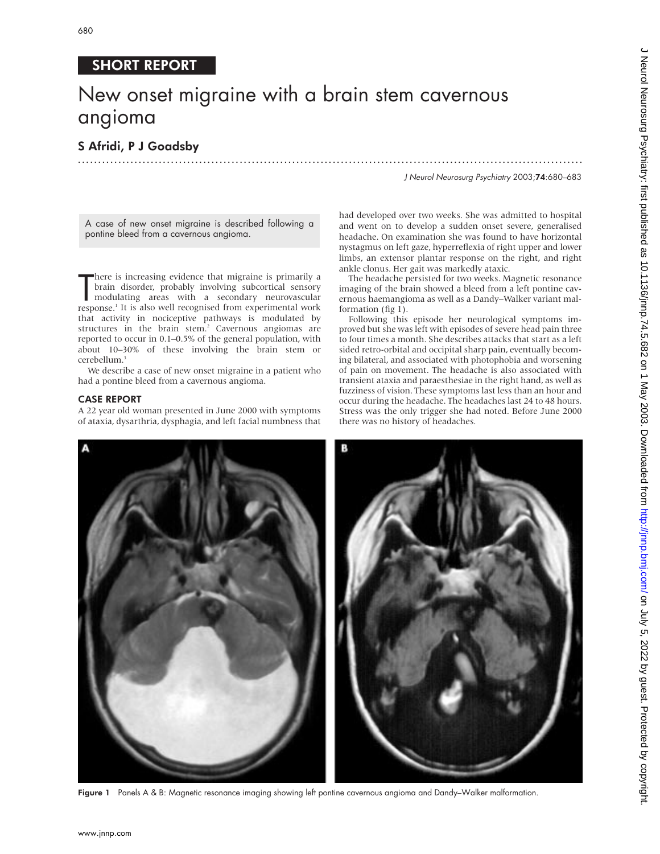## SHORT REPORT

# New onset migraine with a brain stem cavernous angioma

## S Afridi, P J Goadsby .............................................................................................................................

J Neurol Neurosurg Psychiatry 2003;74:680–683

A case of new onset migraine is described following a pontine bleed from a cavernous angioma.

There is increasing evidence that migraine is primarily a<br>brain disorder, probably involving subcortical sensory<br>modulating areas with a secondary neurovascular<br>response.<sup>1</sup> It is also well recognised from experimental wor here is increasing evidence that migraine is primarily a brain disorder, probably involving subcortical sensory modulating areas with a secondary neurovascular that activity in nociceptive pathways is modulated by structures in the brain stem.<sup>2</sup> Cavernous angiomas are reported to occur in 0.1–0.5% of the general population, with about 10–30% of these involving the brain stem or cerebellum.<sup>3</sup>

We describe a case of new onset migraine in a patient who had a pontine bleed from a cavernous angioma.

## CASE REPORT

A 22 year old woman presented in June 2000 with symptoms of ataxia, dysarthria, dysphagia, and left facial numbness that

had developed over two weeks. She was admitted to hospital and went on to develop a sudden onset severe, generalised headache. On examination she was found to have horizontal nystagmus on left gaze, hyperreflexia of right upper and lower limbs, an extensor plantar response on the right, and right ankle clonus. Her gait was markedly ataxic.

The headache persisted for two weeks. Magnetic resonance imaging of the brain showed a bleed from a left pontine cavernous haemangioma as well as a Dandy–Walker variant malformation (fig 1).

Following this episode her neurological symptoms improved but she was left with episodes of severe head pain three to four times a month. She describes attacks that start as a left sided retro-orbital and occipital sharp pain, eventually becoming bilateral, and associated with photophobia and worsening of pain on movement. The headache is also associated with transient ataxia and paraesthesiae in the right hand, as well as fuzziness of vision. These symptoms last less than an hour and occur during the headache. The headaches last 24 to 48 hours. Stress was the only trigger she had noted. Before June 2000 there was no history of headaches.



Figure 1 Panels A & B: Magnetic resonance imaging showing left pontine cavernous angioma and Dandy–Walker malformation.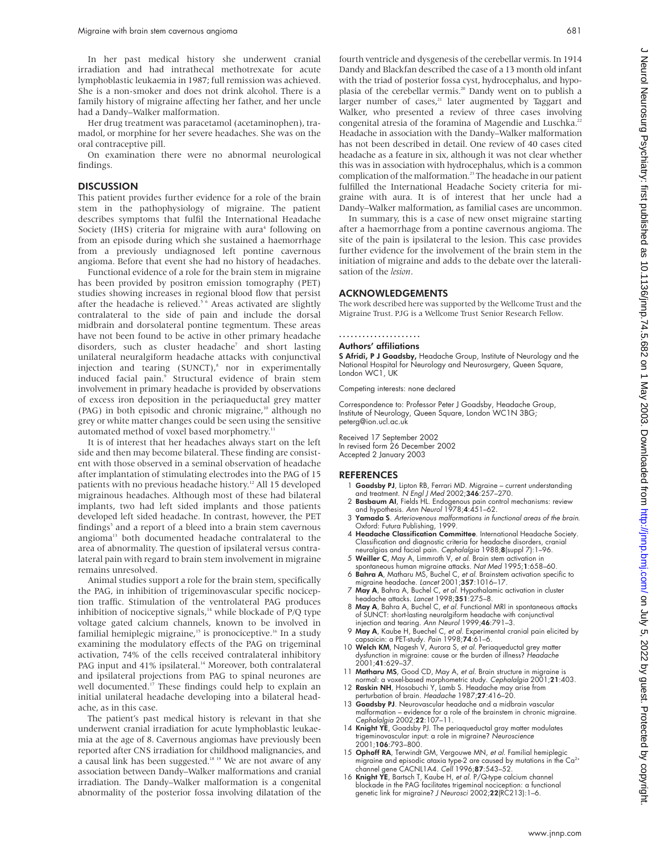In her past medical history she underwent cranial irradiation and had intrathecal methotrexate for acute lymphoblastic leukaemia in 1987; full remission was achieved. She is a non-smoker and does not drink alcohol. There is a family history of migraine affecting her father, and her uncle had a Dandy–Walker malformation.

Her drug treatment was paracetamol (acetaminophen), tramadol, or morphine for her severe headaches. She was on the oral contraceptive pill.

On examination there were no abnormal neurological findings.

### **DISCUSSION**

This patient provides further evidence for a role of the brain stem in the pathophysiology of migraine. The patient describes symptoms that fulfil the International Headache Society (IHS) criteria for migraine with aura<sup>4</sup> following on from an episode during which she sustained a haemorrhage from a previously undiagnosed left pontine cavernous angioma. Before that event she had no history of headaches.

Functional evidence of a role for the brain stem in migraine has been provided by positron emission tomography (PET) studies showing increases in regional blood flow that persist after the headache is relieved.<sup>56</sup> Areas activated are slightly contralateral to the side of pain and include the dorsal midbrain and dorsolateral pontine tegmentum. These areas have not been found to be active in other primary headache disorders, such as cluster headache<sup>7</sup> and short lasting unilateral neuralgiform headache attacks with conjunctival injection and tearing  $(SUNCT)<sup>s</sup>$  nor in experimentally induced facial pain.<sup>9</sup> Structural evidence of brain stem involvement in primary headache is provided by observations of excess iron deposition in the periaqueductal grey matter (PAG) in both episodic and chronic migraine,<sup>10</sup> although no grey or white matter changes could be seen using the sensitive automated method of voxel based morphometry.<sup>11</sup>

It is of interest that her headaches always start on the left side and then may become bilateral. These finding are consistent with those observed in a seminal observation of headache after implantation of stimulating electrodes into the PAG of 15 patients with no previous headache history.<sup>12</sup> All 15 developed migrainous headaches. Although most of these had bilateral implants, two had left sided implants and those patients developed left sided headache. In contrast, however, the PET findings<sup>5</sup> and a report of a bleed into a brain stem cavernous angioma<sup>13</sup> both documented headache contralateral to the area of abnormality. The question of ipsilateral versus contralateral pain with regard to brain stem involvement in migraine remains unresolved.

Animal studies support a role for the brain stem, specifically the PAG, in inhibition of trigeminovascular specific nociception traffic. Stimulation of the ventrolateral PAG produces inhibition of nociceptive signals, $14$  while blockade of P/Q type voltage gated calcium channels, known to be involved in familial hemiplegic migraine,<sup>15</sup> is pronociceptive.<sup>16</sup> In a study examining the modulatory effects of the PAG on trigeminal activation, 74% of the cells received contralateral inhibitory PAG input and 41% ipsilateral.<sup>14</sup> Moreover, both contralateral and ipsilateral projections from PAG to spinal neurones are well documented.<sup>17</sup> These findings could help to explain an initial unilateral headache developing into a bilateral headache, as in this case.

The patient's past medical history is relevant in that she underwent cranial irradiation for acute lymphoblastic leukaemia at the age of 8. Cavernous angiomas have previously been reported after CNS irradiation for childhood malignancies, and a causal link has been suggested.<sup>18 19</sup> We are not aware of any association between Dandy–Walker malformations and cranial irradiation. The Dandy–Walker malformation is a congenital abnormality of the posterior fossa involving dilatation of the fourth ventricle and dysgenesis of the cerebellar vermis. In 1914 Dandy and Blackfan described the case of a 13 month old infant with the triad of posterior fossa cyst, hydrocephalus, and hypoplasia of the cerebellar vermis.<sup>20</sup> Dandy went on to publish a larger number of cases,<sup>21</sup> later augmented by Taggart and Walker, who presented a review of three cases involving congenital atresia of the foramina of Magendie and Luschka.<sup>22</sup> Headache in association with the Dandy–Walker malformation has not been described in detail. One review of 40 cases cited headache as a feature in six, although it was not clear whether this was in association with hydrocephalus, which is a common complication of the malformation.<sup>23</sup> The headache in our patient fulfilled the International Headache Society criteria for migraine with aura. It is of interest that her uncle had a Dandy–Walker malformation, as familial cases are uncommon.

In summary, this is a case of new onset migraine starting after a haemorrhage from a pontine cavernous angioma. The site of the pain is ipsilateral to the lesion. This case provides further evidence for the involvement of the brain stem in the initiation of migraine and adds to the debate over the lateralisation of the *lesion*.

#### ACKNOWLEDGEMENTS

The work described here was supported by the Wellcome Trust and the Migraine Trust. PJG is a Wellcome Trust Senior Research Fellow.

## .....................

Authors' affiliations

S Afridi, P J Goadsby, Headache Group, Institute of Neurology and the National Hospital for Neurology and Neurosurgery, Queen Square, London WC1, UK

Competing interests: none declared

Correspondence to: Professor Peter J Goadsby, Headache Group, Institute of Neurology, Queen Square, London WC1N 3BG; peterg@ion.ucl.ac.uk

Received 17 September 2002 In revised form 26 December 2002 Accepted 2 January 2003

#### REFERENCES

- Goadsby PJ, Lipton RB, Ferrari MD. Migraine current understanding and treatment. N Engl J Med 2002;346:257–270.
- 2 Basbaum AI, Fields HL. Endogenous pain control mechanisms: review and hypothesis. Ann Neurol 1978;4:451–62.
- 3 Yamada S. Arteriovenous malformations in functional areas of the brain. Oxford: Futura Publishing, 1999.
- 4 Headache Classification Committee. International Headache Society. Classification and diagnostic criteria for headache disorders, cranial neuralgias and facial pain. Cephalalgia 1988;8(suppl 7):1–96. 5 Weiller C, May A, Limmroth V, et al. Brain stem activation in
- spontaneous human migraine attacks. Nat Med 1995;1:658–60.
- 6 Bahra A, Matharu MS, Buchel C, et al. Brainstem activation specific to migraine headache. Lancet 2001;357:1016–17.
- 7 May A, Bahra A, Buchel C, et al. Hypothalamic activation in cluster headache attacks. Lancet 1998;351:275–8.
- 8 May A, Bahra A, Buchel C, et al. Functional MRI in spontaneous attacks of SUNCT: short-lasting neuralgiform headache with conjunctival injection and tearing. Ann Neurol 1999;46:791–3.
- 9 May A, Kaube H, Buechel C, et al. Experimental cranial pain elicited by capsaicin: a PET-study. *Pain* 1998;**74**:61–6.<br>10 Welch KM, Nagesh V, Aurora S, *et al*. Periaqueductal grey matter
- dysfunction in migraine: cause or the burden of illness? Headache 2001;41:629–37.
- 11 Matharu MS, Good CD, May A, et al. Brain structure in migraine is normal: a voxel-based morphometric study. Cephalalgia 2001;21:403.
- 12 Raskin NH, Hosobuchi Y, Lamb S. Headache may arise from erturbation of brain. Headache 1987;**27**:416–20.
- 13 Goadsby PJ. Neurovascular headache and a midbrain vascular malformation – evidence for a role of the brainstem in chronic migraine. Cephalalgia 2002;22:107–11.
- 14 Knight YE, Goadsby PJ. The periaqueductal gray matter modulates trigeminovascular input: a role in migraine? Neuroscience 2001;106:793–800.
- 15 Ophoff RA, Terwindt GM, Vergouwe MN, et al. Familial hemiplegic migraine and episodic ataxia type-2 are caused by mutations in the Ca<sup>2+</sup><br>channel gene CACNL1A4. *Cell* 1996;**87**:543–52.
- 16 Knight YE, Bartsch T, Kaube H, et al. P/Q-type calcium channel blockade in the PAG facilitates trigeminal nociception: a functional genetic link for migraine? J Neurosci 2002;22(RC213):1-6.